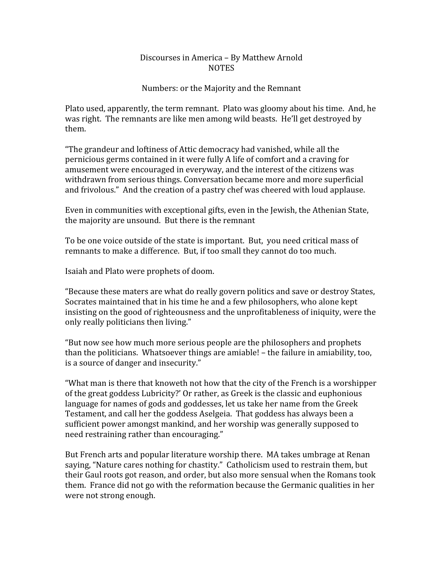## Discourses
in
America
–
By
Matthew
Arnold **NOTES**

## Numbers:
or
the
Majority
and
the
Remnant

Plato used, apparently, the term remnant. Plato was gloomy about his time. And, he was
right.

The
remnants
are
like
men
among
wild
beasts.

He'll
get
destroyed
by them.

"The
grandeur
and
loftiness
of
Attic
democracy
had
vanished,
while
all
the pernicious
germs
contained
in
it
were
fully
A
life
of
comfort
and
a
craving
for amusement
were
encouraged
in
everyway,
and
the
interest
of
the
citizens
was withdrawn from serious things. Conversation became more and more superficial and frivolous." And the creation of a pastry chef was cheered with loud applause.

Even in communities with exceptional gifts, even in the Jewish, the Athenian State, the
majority
are
unsound.

But
there
is
the
remnant

To be one voice outside of the state is important. But, you need critical mass of remnants to make a difference. But, if too small they cannot do too much.

Isaiah
and
Plato
were
prophets
of
doom.

"Because
these
maters
are
what
do
really
govern
politics
and
save
or
destroy
States, Socrates maintained that in his time he and a few philosophers, who alone kept insisting
on
the
good
of
righteousness
and
the
unprofitableness
of
iniquity,
were
the only
really
politicians
then
living."

"But
now
see
how
much
more
serious
people
are
the
philosophers
and
prophets than the politicians. Whatsoever things are amiable! – the failure in amiability, too, is
a
source
of
danger
and
insecurity."

"What man is there that knoweth not how that the city of the French is a worshipper of
the
great
goddess
Lubricity?'
Or
rather,
as
Greek
is
the
classic
and
euphonious language
for
names
of
gods
and
goddesses,
let
us
take
her
name
from
the
Greek Testament, and call her the goddess Aselgeia. That goddess has always been a sufficient
power
amongst
mankind,
and
her
worship
was
generally
supposed
to need
restraining
rather
than
encouraging."

But French arts and popular literature worship there. MA takes umbrage at Renan saying, "Nature cares nothing for chastity." Catholicism used to restrain them, but their Gaul roots got reason, and order, but also more sensual when the Romans took them.

France
did
not
go
with
the
reformation
because
the
Germanic
qualities
in
her were
not
strong
enough.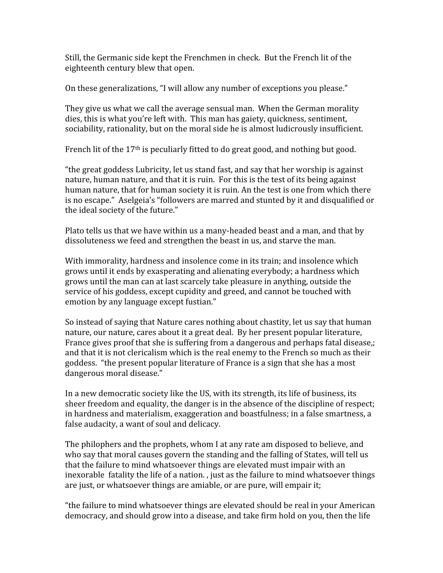Still, the Germanic side kept the Frenchmen in check. But the French lit of the eighteenth
century
blew
that
open.

On
these
generalizations,
"I
will
allow
any
number
of
exceptions
you
please."

They give us what we call the average sensual man. When the German morality dies, this is what you're left with. This man has gaiety, quickness, sentiment, sociability, rationality, but on the moral side he is almost ludicrously insufficient.

French lit of the  $17<sup>th</sup>$  is peculiarly fitted to do great good, and nothing but good.

"the
great
goddess
Lubricity,
let
us
stand
fast,
and
say
that
her
worship
is
against nature, human nature, and that it is ruin. For this is the test of its being against human
nature,
that
for
human
society
it
is
ruin.
An
the
test
is
one
from
which
there is
no
escape."

Aselgeia's
"followers
are
marred
and
stunted
by
it
and
disqualified
or the
ideal
society
of
the
future."

Plato tells us that we have within us a many-headed beast and a man, and that by dissoluteness
we
feed
and
strengthen
the
beast
in
us,
and
starve
the
man.

With immorality, hardness and insolence come in its train; and insolence which grows
until
it
ends
by
exasperating
and
alienating
everybody;
a
hardness
which grows
until
the
man
can
at
last
scarcely
take
pleasure
in
anything,
outside
the service
of
his
goddess,
except
cupidity
and
greed,
and
cannot
be
touched
with emotion
by
any
language
except
fustian."

So instead of saying that Nature cares nothing about chastity, let us say that human nature, our nature, cares about it a great deal. By her present popular literature, France gives proof that she is suffering from a dangerous and perhaps fatal disease,; and that it is not clericalism which is the real enemy to the French so much as their goddess.

"the
present
popular
literature
of
France
is
a
sign
that
she
has
a
most dangerous
moral
disease."

In a new democratic society like the US, with its strength, its life of business, its sheer
freedom
and
equality,
the
danger
is
in
the
absence
of
the
discipline
of
respect; in
hardness
and
materialism,
exaggeration
and
boastfulness;
in
a
false
smartness,
a false
audacity,
a
want
of
soul
and
delicacy.

The
philophers
and
the
prophets,
whom
I
at
any
rate
am
disposed
to
believe,
and who say that moral causes govern the standing and the falling of States, will tell us that
the
failure
to
mind
whatsoever
things
are
elevated
must
impair
with
an inexorable fatality the life of a nation., just as the failure to mind whatsoever things are
just,
or
whatsoever
things
are
amiable,
or
are
pure,
will
empair
it;

"the
failure
to
mind
whatsoever
things
are
elevated
should
be
real
in
your
American democracy, and should grow into a disease, and take firm hold on you, then the life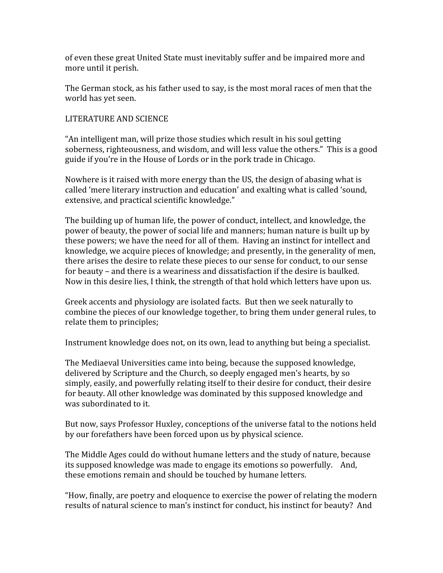of
even
these
great
United
State
must
inevitably
suffer
and
be
impaired
more
and more
until
it
perish.

The
German
stock,
as
his
father
used
to
say,
is
the
most
moral
races
of
men
that
the world
has
yet
seen.

## LITERATURE
AND
SCIENCE

"An
intelligent
man,
will
prize
those
studies
which
result
in
his
soul
getting soberness, righteousness, and wisdom, and will less value the others." This is a good guide
if
you're
in
the
House
of
Lords
or
in
the
pork
trade
in
Chicago.

Nowhere is it raised with more energy than the US, the design of abasing what is called
'mere
literary
instruction
and
education'
and
exalting
what
is
called
'sound, extensive,
and
practical
scientific
knowledge."

The
building
up
of
human
life,
the
power
of
conduct,
intellect,
and
knowledge,
the power
of
beauty,
the
power
of
social
life
and
manners;
human
nature
is
built
up
by these
powers;
we
have
the
need
for
all
of
them.

Having
an
instinct
for
intellect
and knowledge, we acquire pieces of knowledge; and presently, in the generality of men, there arises the desire to relate these pieces to our sense for conduct, to our sense for
beauty
–
and
there
is
a
weariness
and
dissatisfaction
if
the
desire
is
baulked. Now in this desire lies, I think, the strength of that hold which letters have upon us.

Greek
accents
and
physiology
are
isolated
facts.

But
then
we
seek
naturally
to combine
the
pieces
of
our
knowledge
together,
to
bring
them
under
general
rules,
to relate
them
to
principles;

Instrument knowledge does not, on its own, lead to anything but being a specialist.

The
Mediaeval
Universities
came
into
being,
because
the
supposed
knowledge, delivered
by
Scripture
and
the
Church,
so
deeply
engaged
men's
hearts,
by
so simply, easily, and powerfully relating itself to their desire for conduct, their desire for
beauty.
All
other
knowledge
was
dominated
by
this
supposed
knowledge
and was subordinated to it.

But now, says Professor Huxley, conceptions of the universe fatal to the notions held by our forefathers have been forced upon us by physical science.

The
Middle
Ages
could
do
without
humane
letters
and
the
study
of
nature,
because its supposed knowledge was made to engage its emotions so powerfully. And, these
emotions
remain
and
should
be
touched
by
humane
letters.

"How,
finally,
are
poetry
and
eloquence
to
exercise
the
power
of
relating
the
modern results of natural science to man's instinct for conduct, his instinct for beauty? And